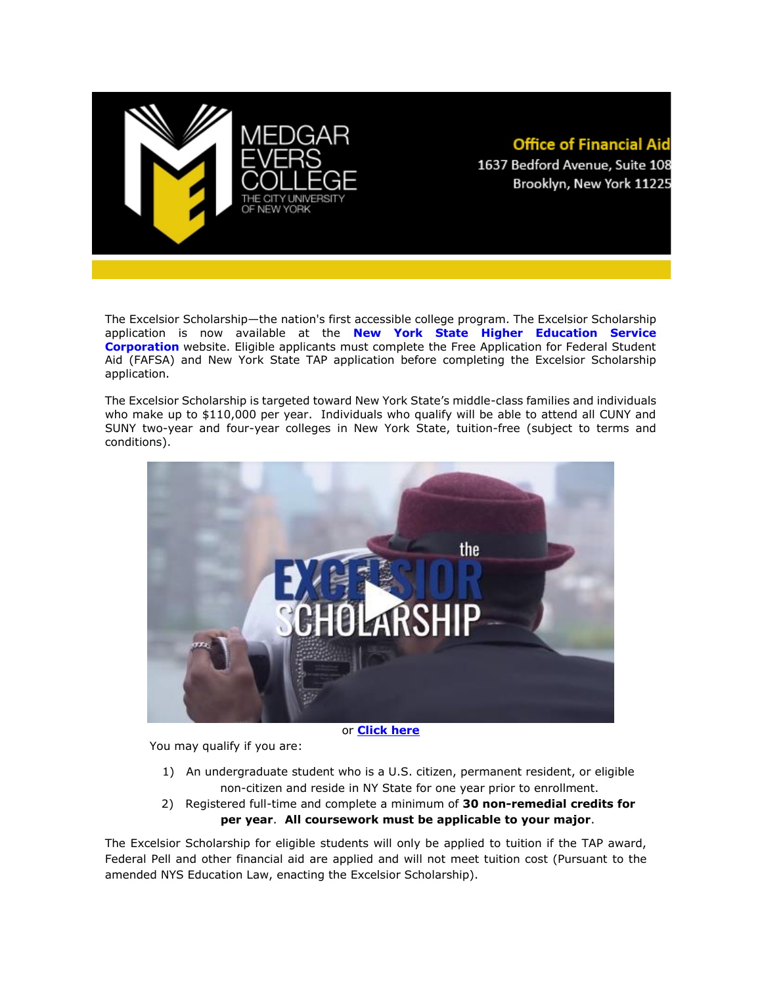

## **Office of Financial Aid** 1637 Bedford Avenue, Suite 108 Brooklyn, New York 11225

The Excelsior Scholarship—the nation's first accessible college program. The Excelsior Scholarship application is now available at the **[New York State Higher Education Service](https://www.hesc.ny.gov/excelsior/)  [Corporation](https://www.hesc.ny.gov/excelsior/)** website. Eligible applicants must complete the Free Application for Federal Student Aid (FAFSA) and New York State TAP application before completing the Excelsior Scholarship application.

The Excelsior Scholarship is targeted toward New York State's middle-class families and individuals who make up to \$110,000 per year. Individuals who qualify will be able to attend all CUNY and SUNY two-year and four-year colleges in New York State, tuition-free (subject to terms and conditions).



or **[Click here](https://www.facebook.com/CUNYedu/videos/1340274376025800/)**

You may qualify if you are:

- 1) An undergraduate student who is a U.S. citizen, permanent resident, or eligible non-citizen and reside in NY State for one year prior to enrollment.
- 2) Registered full-time and complete a minimum of **30 non-remedial credits for per year**. **All coursework must be applicable to your major**.

The Excelsior Scholarship for eligible students will only be applied to tuition if the TAP award, Federal Pell and other financial aid are applied and will not meet tuition cost (Pursuant to the amended NYS Education Law, enacting the Excelsior Scholarship).